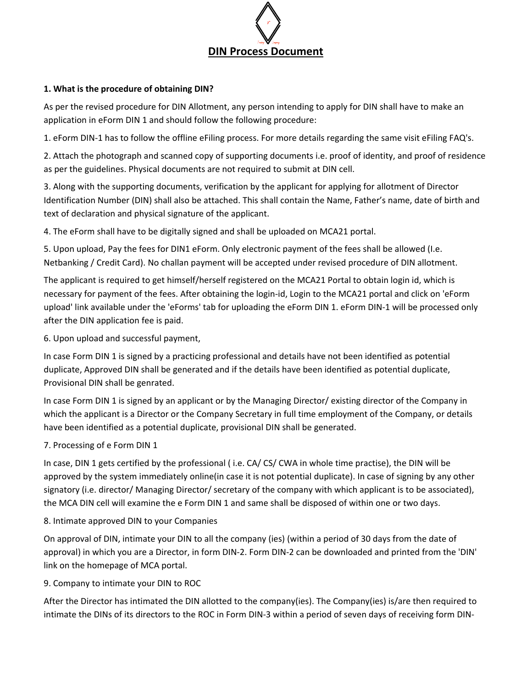

#### **1. What is the procedure of obtaining DIN?**

As per the revised procedure for DIN Allotment, any person intending to apply for DIN shall have to make an application in eForm DIN 1 and should follow the following procedure:

1. eForm DIN‐1 has to follow the offline eFiling process. For more details regarding the same visit eFiling FAQ's.

2. Attach the photograph and scanned copy of supporting documents i.e. proof of identity, and proof of residence as per the guidelines. Physical documents are not required to submit at DIN cell.

3. Along with the supporting documents, verification by the applicant for applying for allotment of Director Identification Number (DIN) shall also be attached. This shall contain the Name, Father's name, date of birth and text of declaration and physical signature of the applicant.

4. The eForm shall have to be digitally signed and shall be uploaded on MCA21 portal.

5. Upon upload, Pay the fees for DIN1 eForm. Only electronic payment of the fees shall be allowed (I.e. Netbanking / Credit Card). No challan payment will be accepted under revised procedure of DIN allotment.

The applicant is required to get himself/herself registered on the MCA21 Portal to obtain login id, which is necessary for payment of the fees. After obtaining the login‐id, Login to the MCA21 portal and click on 'eForm upload' link available under the 'eForms' tab for uploading the eForm DIN 1. eForm DIN‐1 will be processed only after the DIN application fee is paid.

6. Upon upload and successful payment,

In case Form DIN 1 is signed by a practicing professional and details have not been identified as potential duplicate, Approved DIN shall be generated and if the details have been identified as potential duplicate, Provisional DIN shall be genrated.

In case Form DIN 1 is signed by an applicant or by the Managing Director/ existing director of the Company in which the applicant is a Director or the Company Secretary in full time employment of the Company, or details have been identified as a potential duplicate, provisional DIN shall be generated.

### 7. Processing of e Form DIN 1

In case, DIN 1 gets certified by the professional ( i.e. CA/ CS/ CWA in whole time practise), the DIN will be approved by the system immediately online(in case it is not potential duplicate). In case of signing by any other signatory (i.e. director/ Managing Director/ secretary of the company with which applicant is to be associated), the MCA DIN cell will examine the e Form DIN 1 and same shall be disposed of within one or two days.

#### 8. Intimate approved DIN to your Companies

On approval of DIN, intimate your DIN to all the company (ies) (within a period of 30 days from the date of approval) in which you are a Director, in form DIN‐2. Form DIN‐2 can be downloaded and printed from the 'DIN' link on the homepage of MCA portal.

9. Company to intimate your DIN to ROC

After the Director has intimated the DIN allotted to the company(ies). The Company(ies) is/are then required to intimate the DINs of its directors to the ROC in Form DIN‐3 within a period of seven days of receiving form DIN‐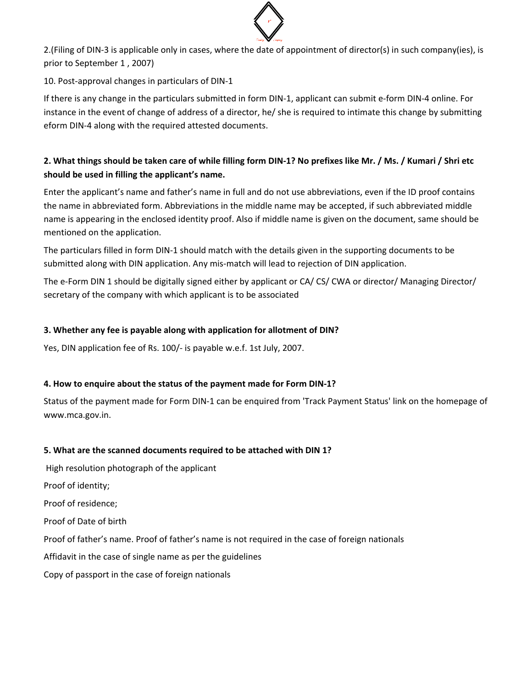

2. (Filing of DIN-3 is applicable only in cases, where the date of appointment of director(s) in such company(ies), is prior to September 1 , 2007)

10. Post-approval changes in particulars of DIN-1

If there is any change in the particulars submitted in form DIN‐1, applicant can submit e‐form DIN‐4 online. For instance in the event of change of address of a director, he/ she is required to intimate this change by submitting eform DIN‐4 along with the required attested documents.

# 2. What things should be taken care of while filling form DIN-1? No prefixes like Mr. / Ms. / Kumari / Shri etc **should be used in filling the applicant's name.**

Enter the applicant's name and father's name in full and do not use abbreviations, even if the ID proof contains the name in abbreviated form. Abbreviations in the middle name may be accepted, if such abbreviated middle name is appearing in the enclosed identity proof. Also if middle name is given on the document, same should be mentioned on the application.

The particulars filled in form DIN‐1 should match with the details given in the supporting documents to be submitted along with DIN application. Any mis-match will lead to rejection of DIN application.

The e‐Form DIN 1 should be digitally signed either by applicant or CA/ CS/ CWA or director/ Managing Director/ secretary of the company with which applicant is to be associated

### **3. Whether any fee is payable along with application for allotment of DIN?**

Yes, DIN application fee of Rs. 100/‐ is payable w.e.f. 1st July, 2007.

### **4. How to enquire about the status of the payment made for Form DIN‐1?**

Status of the payment made for Form DIN‐1 can be enquired from 'Track Payment Status' link on the homepage of www.mca.gov.in.

## **5. What are the scanned documents required to be attached with DIN 1?**

High resolution photograph of the applicant

Proof of identity;

Proof of residence;

Proof of Date of birth

Proof of father's name. Proof of father's name is not required in the case of foreign nationals

Affidavit in the case of single name as per the guidelines

Copy of passport in the case of foreign nationals